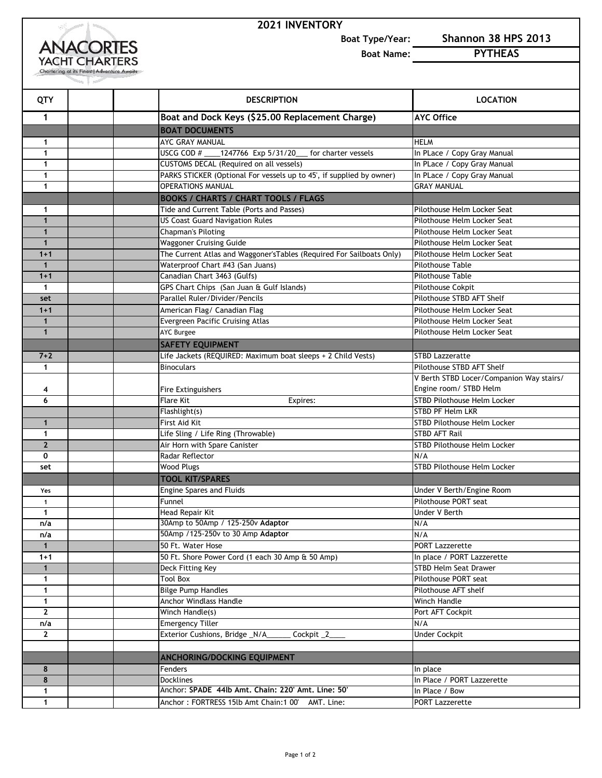## **2021 INVENTORY**



**Boat Type/Year: Shannon 38 HPS 2013**

**Boat Name: PYTHEAS**

| QTY               | <b>DESCRIPTION</b>                                                    | <b>LOCATION</b>                          |
|-------------------|-----------------------------------------------------------------------|------------------------------------------|
| 1                 | Boat and Dock Keys (\$25.00 Replacement Charge)                       | <b>AYC Office</b>                        |
|                   | <b>BOAT DOCUMENTS</b>                                                 |                                          |
| 1                 | AYC GRAY MANUAL                                                       | <b>HELM</b>                              |
| 1                 | USCG COD # ____ 1247766 Exp 5/31/20 ___ for charter vessels           | In PLace / Copy Gray Manual              |
| 1                 | <b>CUSTOMS DECAL (Required on all vessels)</b>                        | In PLace / Copy Gray Manual              |
| 1                 | PARKS STICKER (Optional For vessels up to 45', if supplied by owner)  | In PLace / Copy Gray Manual              |
| 1                 | <b>OPERATIONS MANUAL</b>                                              | <b>GRAY MANUAL</b>                       |
|                   | <b>BOOKS / CHARTS / CHART TOOLS / FLAGS</b>                           |                                          |
| 1                 | Tide and Current Table (Ports and Passes)                             | Pilothouse Helm Locker Seat              |
| $\mathbf{1}$      | <b>US Coast Guard Navigation Rules</b>                                | Pilothouse Helm Locker Seat              |
| $\mathbf{1}$      | <b>Chapman's Piloting</b>                                             | Pilothouse Helm Locker Seat              |
| $\mathbf{1}$      | <b>Waggoner Cruising Guide</b>                                        | Pilothouse Helm Locker Seat              |
| $1 + 1$           | The Current Atlas and Waggoner's Tables (Required For Sailboats Only) | Pilothouse Helm Locker Seat              |
| $\mathbf{1}$      | Waterproof Chart #43 (San Juans)                                      | <b>Pilothouse Table</b>                  |
| $1 + 1$           | Canadian Chart 3463 (Gulfs)                                           | Pilothouse Table                         |
| $\mathbf{1}$      | GPS Chart Chips (San Juan & Gulf Islands)                             | Pilothouse Cokpit                        |
| set               | Parallel Ruler/Divider/Pencils                                        | Pilothouse STBD AFT Shelf                |
| $1 + 1$           | American Flag/ Canadian Flag                                          | Pilothouse Helm Locker Seat              |
| $\mathbf{1}$      | Evergreen Pacific Cruising Atlas                                      | Pilothouse Helm Locker Seat              |
| $\mathbf{1}$      | <b>AYC Burgee</b>                                                     | Pilothouse Helm Locker Seat              |
|                   | <b>SAFETY EQUIPMENT</b>                                               |                                          |
| $7 + 2$           | Life Jackets (REQUIRED: Maximum boat sleeps + 2 Child Vests)          | <b>STBD Lazzeratte</b>                   |
| 1                 | <b>Binoculars</b>                                                     | Pilothouse STBD AFT Shelf                |
|                   |                                                                       | V Berth STBD Locer/Companion Way stairs/ |
| 4                 | Fire Extinguishers                                                    | Engine room/ STBD Helm                   |
| 6                 | <b>Flare Kit</b><br>Expires:                                          | <b>STBD Pilothouse Helm Locker</b>       |
|                   | Flashlight(s)                                                         | <b>STBD PF Helm LKR</b>                  |
| 1                 | First Aid Kit                                                         | <b>STBD Pilothouse Helm Locker</b>       |
| 1                 | Life Sling / Life Ring (Throwable)                                    | <b>STBD AFT Rail</b>                     |
| $\overline{2}$    | Air Horn with Spare Canister                                          | <b>STBD Pilothouse Helm Locker</b>       |
| 0                 | Radar Reflector                                                       | N/A                                      |
| set               | <b>Wood Plugs</b>                                                     | STBD Pilothouse Helm Locker              |
|                   | <b>TOOL KIT/SPARES</b>                                                |                                          |
| Yes               | <b>Engine Spares and Fluids</b>                                       | Under V Berth/Engine Room                |
| 1                 | Funnel                                                                | Pilothouse PORT seat                     |
| 1                 | Head Repair Kit                                                       | Under V Berth                            |
| n/a               | 30Amp to 50Amp / 125-250v Adaptor                                     | N/A                                      |
| n/a               | 50Amp /125-250v to 30 Amp Adaptor                                     | N/A                                      |
| 1                 | 50 Ft. Water Hose                                                     | <b>PORT Lazzerette</b>                   |
| $1 + 1$           | 50 Ft. Shore Power Cord (1 each 30 Amp & 50 Amp)                      | In place / PORT Lazzerette               |
| $\mathbf{1}$      | Deck Fitting Key                                                      | <b>STBD Helm Seat Drawer</b>             |
| 1                 | <b>Tool Box</b>                                                       | Pilothouse PORT seat                     |
| $\mathbf{1}$      | <b>Bilge Pump Handles</b>                                             | Pilothouse AFT shelf                     |
| $\mathbf{1}$      | Anchor Windlass Handle                                                | Winch Handle                             |
| $\mathbf{2}$      | Winch Handle(s)                                                       | Port AFT Cockpit<br>N/A                  |
| n/a               | <b>Emergency Tiller</b>                                               |                                          |
| $\mathbf{2}$      | Exterior Cushions, Bridge _N/A_<br>Cockpit _2                         | <b>Under Cockpit</b>                     |
|                   |                                                                       |                                          |
|                   | ANCHORING/DOCKING EQUIPMENT                                           |                                          |
| 8<br>8            | Fenders<br><b>Docklines</b>                                           | In place                                 |
|                   | Anchor: SPADE 44lb Amt, Chain: 220' Amt, Line: 50'                    | In Place / PORT Lazzerette               |
| 1<br>$\mathbf{1}$ |                                                                       | In Place / Bow                           |
|                   | Anchor: FORTRESS 15lb Amt Chain:1 00' AMT. Line:                      | PORT Lazzerette                          |